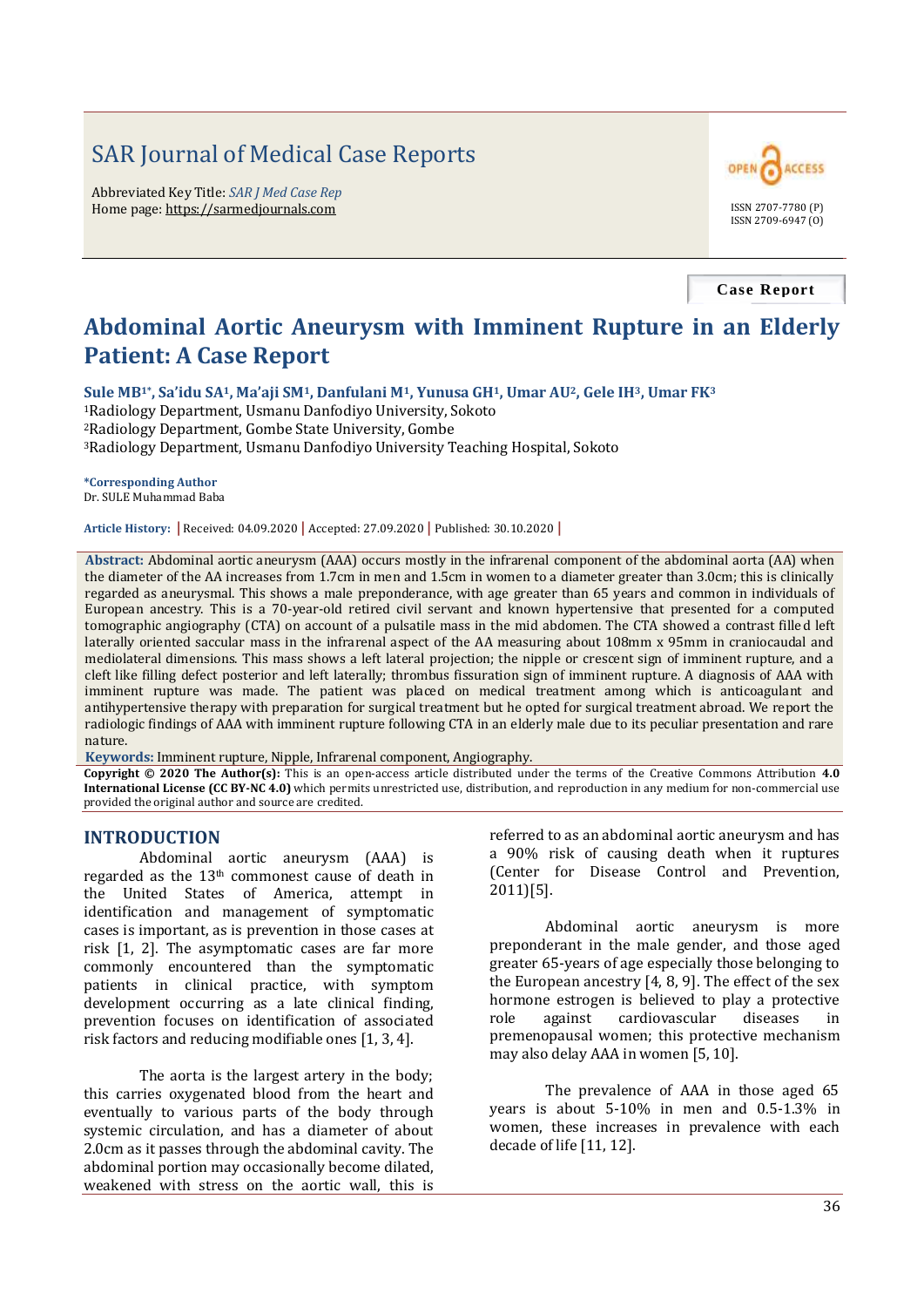# SAR Journal of Medical Case Reports

Abbreviated Key Title: *SAR J Med Case Rep* Home page: https://sarmedjournals.com ISSN 2707-7780 (P)



**Case Report**

## **Abdominal Aortic Aneurysm with Imminent Rupture in an Elderly Patient: A Case Report**

**Sule MB1\*, Sa'idu SA1, Ma'aji SM1, Danfulani M1, Yunusa GH1, Umar AU2, Gele IH3, Umar FK<sup>3</sup>**

<sup>1</sup>Radiology Department, Usmanu Danfodiyo University, Sokoto <sup>2</sup>Radiology Department, Gombe State University, Gombe <sup>3</sup>Radiology Department, Usmanu Danfodiyo University Teaching Hospital, Sokoto

**\*Corresponding Author** Dr. SULE Muhammad Baba

**Article History: |** Received: 04.09.2020 **|** Accepted: 27.09.2020 **|** Published: 30.10.2020 **|**

**Abstract:** Abdominal aortic aneurysm (AAA) occurs mostly in the infrarenal component of the abdominal aorta (AA) when the diameter of the AA increases from 1.7cm in men and 1.5cm in women to a diameter greater than 3.0cm; this is clinically regarded as aneurysmal. This shows a male preponderance, with age greater than 65 years and common in individuals of European ancestry. This is a 70-year-old retired civil servant and known hypertensive that presented for a computed tomographic angiography (CTA) on account of a pulsatile mass in the mid abdomen. The CTA showed a contrast filled left laterally oriented saccular mass in the infrarenal aspect of the AA measuring about 108mm x 95mm in craniocaudal and mediolateral dimensions. This mass shows a left lateral projection; the nipple or crescent sign of imminent rupture, and a cleft like filling defect posterior and left laterally; thrombus fissuration sign of imminent rupture. A diagnosis of AAA with imminent rupture was made. The patient was placed on medical treatment among which is anticoagulant and antihypertensive therapy with preparation for surgical treatment but he opted for surgical treatment abroad. We report the radiologic findings of AAA with imminent rupture following CTA in an elderly male due to its peculiar presentation and rare nature.

**Keywords:** Imminent rupture, Nipple, Infrarenal component, Angiography.

**Copyright © 2020 The Author(s):** This is an open-access article distributed under the terms of the Creative Commons Attribution **4.0 International License (CC BY-NC 4.0)** which permits unrestricted use, distribution, and reproduction in any medium for non-commercial use provided the original author and source are credited.

#### **INTRODUCTION**

Abdominal aortic aneurysm (AAA) is regarded as the 13th commonest cause of death in the United States of America, attempt in identification and management of symptomatic cases is important, as is prevention in those cases at risk [1, 2]. The asymptomatic cases are far more commonly encountered than the symptomatic patients in clinical practice, with symptom development occurring as a late clinical finding, prevention focuses on identification of associated risk factors and reducing modifiable ones [1, 3, 4].

The aorta is the largest artery in the body; this carries oxygenated blood from the heart and eventually to various parts of the body through systemic circulation, and has a diameter of about 2.0cm as it passes through the abdominal cavity. The abdominal portion may occasionally become dilated, weakened with stress on the aortic wall, this is

referred to as an abdominal aortic aneurysm and has a 90% risk of causing death when it ruptures (Center for Disease Control and Prevention, 2011)[5].

Abdominal aortic aneurysm is more preponderant in the male gender, and those aged greater 65-years of age especially those belonging to the European ancestry [4, 8, 9]. The effect of the sex hormone estrogen is believed to play a protective role against cardiovascular diseases in premenopausal women; this protective mechanism may also delay AAA in women [5, 10].

The prevalence of AAA in those aged 65 years is about 5-10% in men and 0.5-1.3% in women, these increases in prevalence with each decade of life [11, 12].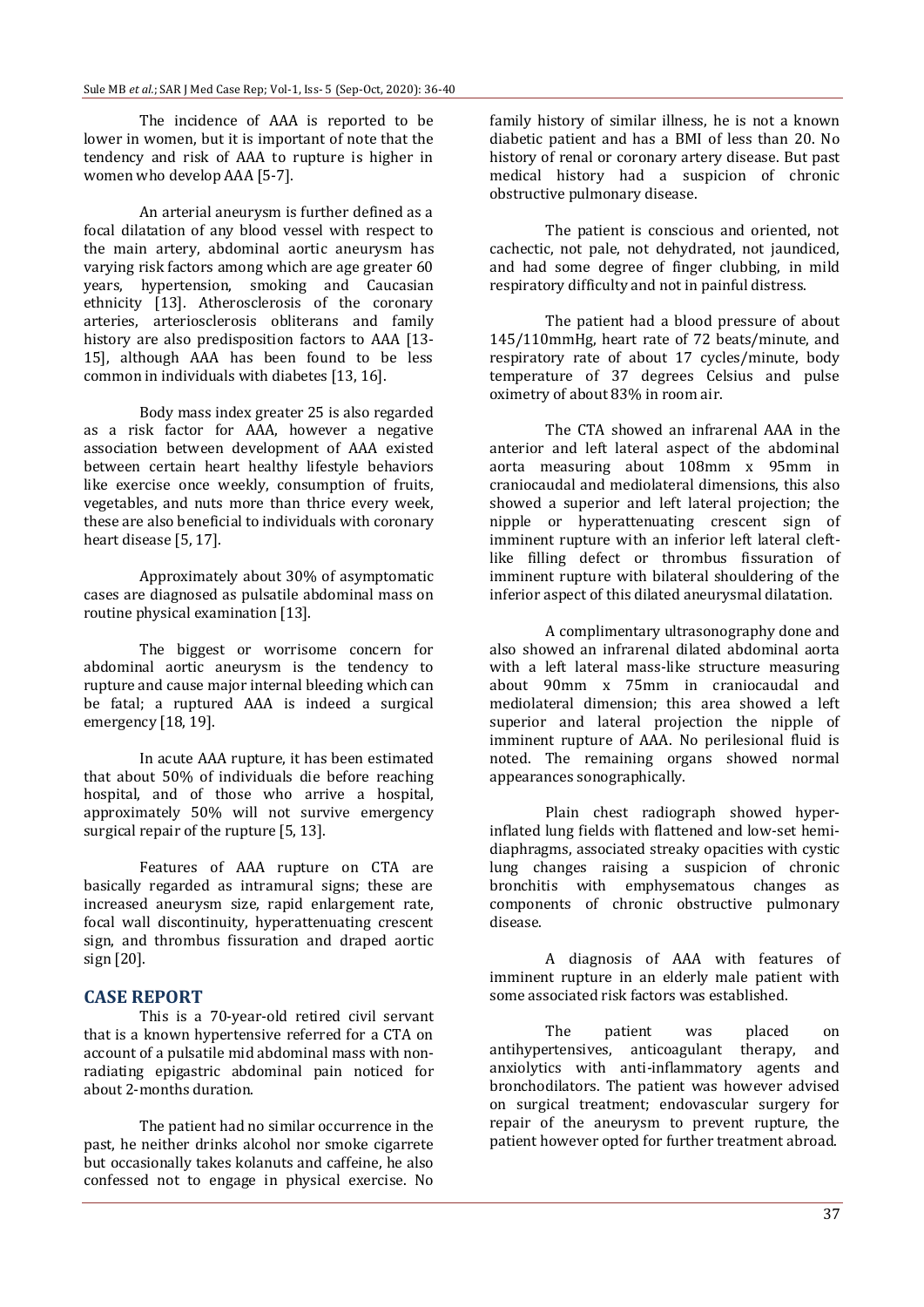The incidence of AAA is reported to be lower in women, but it is important of note that the tendency and risk of AAA to rupture is higher in women who develop AAA [5-7].

An arterial aneurysm is further defined as a focal dilatation of any blood vessel with respect to the main artery, abdominal aortic aneurysm has varying risk factors among which are age greater 60 years, hypertension, smoking and Caucasian ethnicity [13]. Atherosclerosis of the coronary arteries, arteriosclerosis obliterans and family history are also predisposition factors to AAA [13- 15], although AAA has been found to be less common in individuals with diabetes [13, 16].

Body mass index greater 25 is also regarded as a risk factor for AAA, however a negative association between development of AAA existed between certain heart healthy lifestyle behaviors like exercise once weekly, consumption of fruits, vegetables, and nuts more than thrice every week, these are also beneficial to individuals with coronary heart disease [5, 17].

Approximately about 30% of asymptomatic cases are diagnosed as pulsatile abdominal mass on routine physical examination [13].

The biggest or worrisome concern for abdominal aortic aneurysm is the tendency to rupture and cause major internal bleeding which can be fatal; a ruptured AAA is indeed a surgical emergency [18, 19].

In acute AAA rupture, it has been estimated that about 50% of individuals die before reaching hospital, and of those who arrive a hospital, approximately 50% will not survive emergency surgical repair of the rupture [5, 13].

Features of AAA rupture on CTA are basically regarded as intramural signs; these are increased aneurysm size, rapid enlargement rate, focal wall discontinuity, hyperattenuating crescent sign, and thrombus fissuration and draped aortic sign [20].

#### **CASE REPORT**

This is a 70-year-old retired civil servant that is a known hypertensive referred for a CTA on account of a pulsatile mid abdominal mass with nonradiating epigastric abdominal pain noticed for about 2-months duration.

The patient had no similar occurrence in the past, he neither drinks alcohol nor smoke cigarrete but occasionally takes kolanuts and caffeine, he also confessed not to engage in physical exercise. No

family history of similar illness, he is not a known diabetic patient and has a BMI of less than 20. No history of renal or coronary artery disease. But past medical history had a suspicion of chronic obstructive pulmonary disease.

The patient is conscious and oriented, not cachectic, not pale, not dehydrated, not jaundiced, and had some degree of finger clubbing, in mild respiratory difficulty and not in painful distress.

The patient had a blood pressure of about 145/110mmHg, heart rate of 72 beats/minute, and respiratory rate of about 17 cycles/minute, body temperature of 37 degrees Celsius and pulse oximetry of about 83% in room air.

The CTA showed an infrarenal AAA in the anterior and left lateral aspect of the abdominal aorta measuring about 108mm x 95mm in craniocaudal and mediolateral dimensions, this also showed a superior and left lateral projection; the nipple or hyperattenuating crescent sign of imminent rupture with an inferior left lateral cleftlike filling defect or thrombus fissuration of imminent rupture with bilateral shouldering of the inferior aspect of this dilated aneurysmal dilatation.

A complimentary ultrasonography done and also showed an infrarenal dilated abdominal aorta with a left lateral mass-like structure measuring about 90mm x 75mm in craniocaudal and mediolateral dimension; this area showed a left superior and lateral projection the nipple of imminent rupture of AAA. No perilesional fluid is noted. The remaining organs showed normal appearances sonographically.

Plain chest radiograph showed hyperinflated lung fields with flattened and low-set hemidiaphragms, associated streaky opacities with cystic lung changes raising a suspicion of chronic bronchitis with emphysematous changes as components of chronic obstructive pulmonary disease.

A diagnosis of AAA with features of imminent rupture in an elderly male patient with some associated risk factors was established.

The patient was placed on antihypertensives, anticoagulant therapy, and anxiolytics with anti-inflammatory agents and bronchodilators. The patient was however advised on surgical treatment; endovascular surgery for repair of the aneurysm to prevent rupture, the patient however opted for further treatment abroad.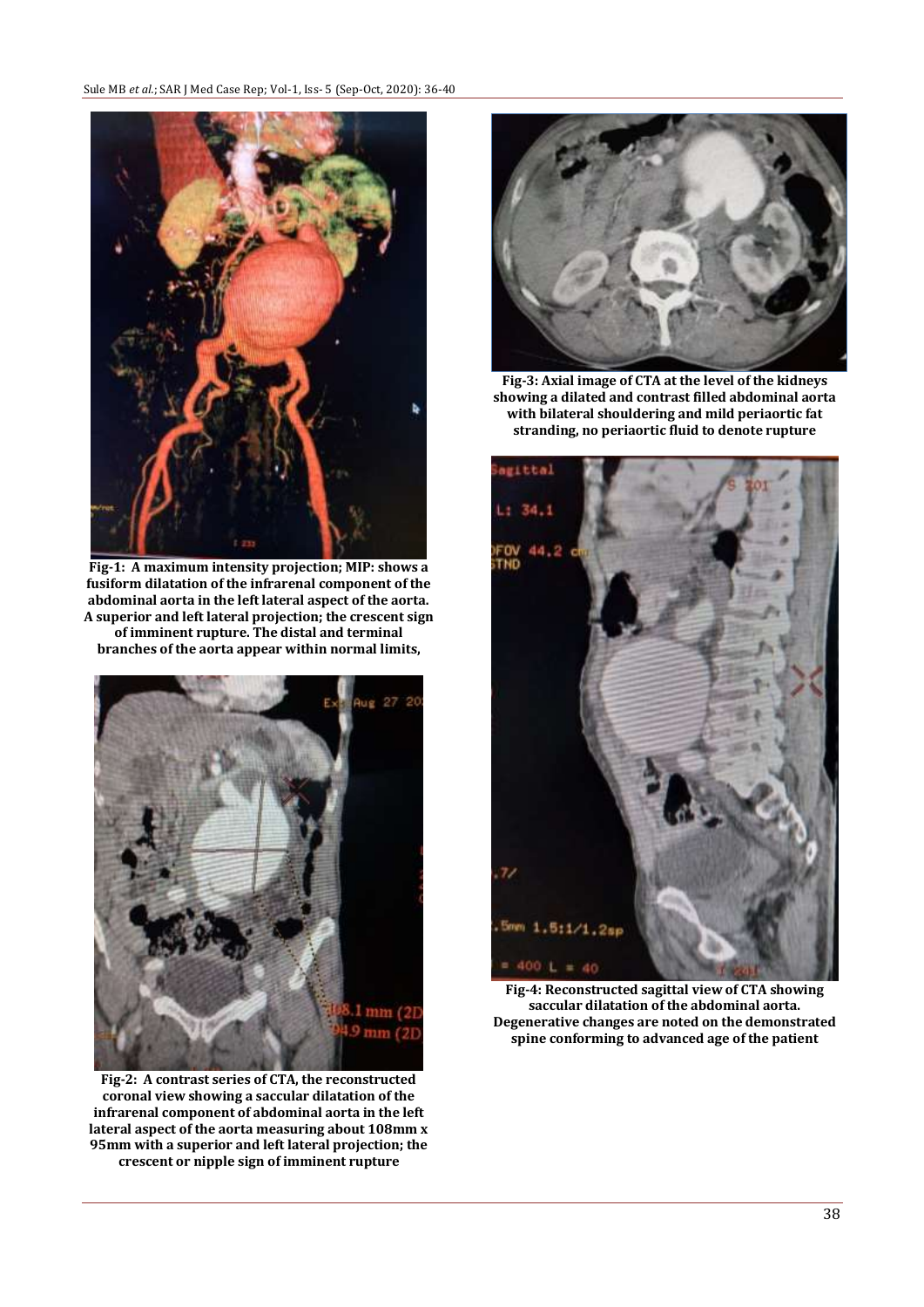

**Fig-1: A maximum intensity projection; MIP: shows a fusiform dilatation of the infrarenal component of the abdominal aorta in the left lateral aspect of the aorta. A superior and left lateral projection; the crescent sign of imminent rupture. The distal and terminal branches of the aorta appear within normal limits,**



**Fig-2: A contrast series of CTA, the reconstructed coronal view showing a saccular dilatation of the infrarenal component of abdominal aorta in the left lateral aspect of the aorta measuring about 108mm x 95mm with a superior and left lateral projection; the crescent or nipple sign of imminent rupture**



**Fig-3: Axial image of CTA at the level of the kidneys showing a dilated and contrast filled abdominal aorta with bilateral shouldering and mild periaortic fat stranding, no periaortic fluid to denote rupture**



**Fig-4: Reconstructed sagittal view of CTA showing saccular dilatation of the abdominal aorta. Degenerative changes are noted on the demonstrated spine conforming to advanced age of the patient**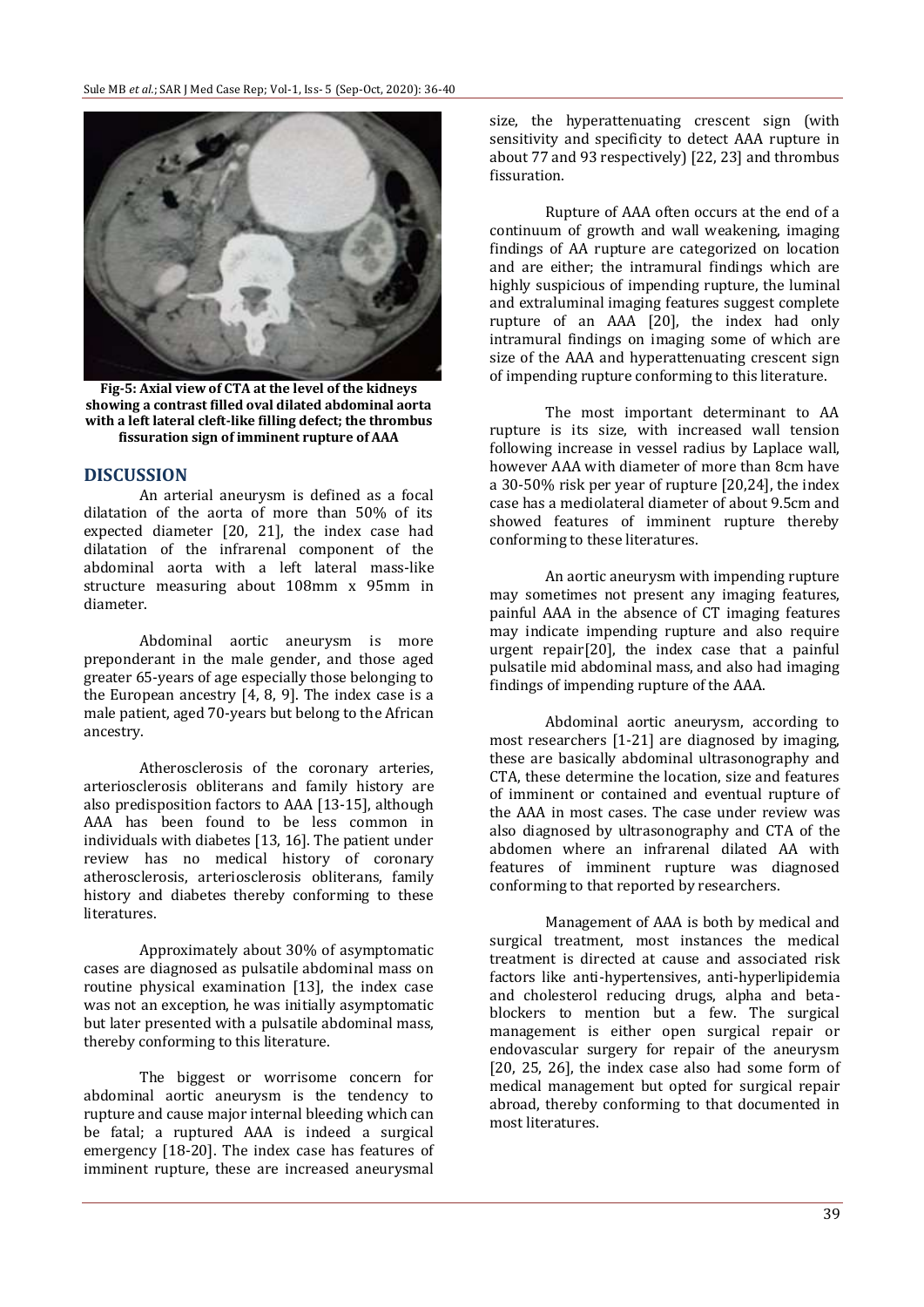

**Fig-5: Axial view of CTA at the level of the kidneys showing a contrast filled oval dilated abdominal aorta with a left lateral cleft-like filling defect; the thrombus fissuration sign of imminent rupture of AAA**

### **DISCUSSION**

An arterial aneurysm is defined as a focal dilatation of the aorta of more than 50% of its expected diameter [20, 21], the index case had dilatation of the infrarenal component of the abdominal aorta with a left lateral mass-like structure measuring about 108mm x 95mm in diameter.

Abdominal aortic aneurysm is more preponderant in the male gender, and those aged greater 65-years of age especially those belonging to the European ancestry [4, 8, 9]. The index case is a male patient, aged 70-years but belong to the African ancestry.

Atherosclerosis of the coronary arteries, arteriosclerosis obliterans and family history are also predisposition factors to AAA [13-15], although AAA has been found to be less common in individuals with diabetes [13, 16]. The patient under review has no medical history of coronary atherosclerosis, arteriosclerosis obliterans, family history and diabetes thereby conforming to these literatures.

Approximately about 30% of asymptomatic cases are diagnosed as pulsatile abdominal mass on routine physical examination [13], the index case was not an exception, he was initially asymptomatic but later presented with a pulsatile abdominal mass, thereby conforming to this literature.

The biggest or worrisome concern for abdominal aortic aneurysm is the tendency to rupture and cause major internal bleeding which can be fatal; a ruptured AAA is indeed a surgical emergency [18-20]. The index case has features of imminent rupture, these are increased aneurysmal size, the hyperattenuating crescent sign (with sensitivity and specificity to detect AAA rupture in about 77 and 93 respectively) [22, 23] and thrombus fissuration.

Rupture of AAA often occurs at the end of a continuum of growth and wall weakening, imaging findings of AA rupture are categorized on location and are either; the intramural findings which are highly suspicious of impending rupture, the luminal and extraluminal imaging features suggest complete rupture of an AAA [20], the index had only intramural findings on imaging some of which are size of the AAA and hyperattenuating crescent sign of impending rupture conforming to this literature.

The most important determinant to AA rupture is its size, with increased wall tension following increase in vessel radius by Laplace wall, however AAA with diameter of more than 8cm have a 30-50% risk per year of rupture [20,24], the index case has a mediolateral diameter of about 9.5cm and showed features of imminent rupture thereby conforming to these literatures.

An aortic aneurysm with impending rupture may sometimes not present any imaging features, painful AAA in the absence of CT imaging features may indicate impending rupture and also require urgent repair[20], the index case that a painful pulsatile mid abdominal mass, and also had imaging findings of impending rupture of the AAA.

Abdominal aortic aneurysm, according to most researchers [1-21] are diagnosed by imaging, these are basically abdominal ultrasonography and CTA, these determine the location, size and features of imminent or contained and eventual rupture of the AAA in most cases. The case under review was also diagnosed by ultrasonography and CTA of the abdomen where an infrarenal dilated AA with features of imminent rupture was diagnosed conforming to that reported by researchers.

Management of AAA is both by medical and surgical treatment, most instances the medical treatment is directed at cause and associated risk factors like anti-hypertensives, anti-hyperlipidemia and cholesterol reducing drugs, alpha and betablockers to mention but a few. The surgical management is either open surgical repair or endovascular surgery for repair of the aneurysm [20, 25, 26], the index case also had some form of medical management but opted for surgical repair abroad, thereby conforming to that documented in most literatures.